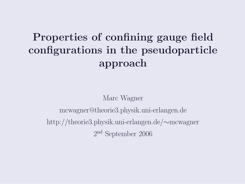## Properties of confining gauge field configurations in the pseudoparticle approach

Marc Wagner mcwagner@theorie3.physik.uni-erlangen.de http://theorie3.physik.uni-erlangen.de/∼mcwagner 2 nd September 2006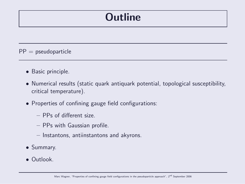### **Outline**

 $PP =$  pseudoparticle

- Basic principle.
- Numerical results (static quark antiquark potential, topological susceptibility, critical temperature).
- Properties of confining gauge field configurations:
	- PPs of different size.
	- PPs with Gaussian profile.
	- Instantons, antiinstantons and akyrons.
- Summary.
- Outlook.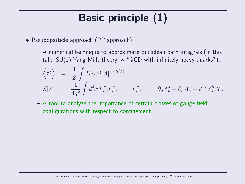# Basic principle (1)

- Pseudoparticle approach (PP approach):
	- A numerical technique to approximate Euclidean path integrals (in this talk: SU(2) Yang-Mills theory  $\approx$  "QCD with infinitely heavy quarks"):

$$
\begin{array}{rcl}\n\langle \mathcal{O} \rangle &=& \frac{1}{Z} \int DA \, \mathcal{O}[A] e^{-S[A]} \\
S[A] &=& \frac{1}{4g^2} \int d^4x \, F_{\mu\nu}^a F_{\mu\nu}^a \quad , \quad F_{\mu\nu}^a &=& \partial_\mu A_\nu^a - \partial_\nu A_\mu^a + \epsilon^{abc} A_\mu^b A_\nu^c.\n\end{array}
$$

– A tool to analyze the importance of certain classes of gauge field configurations with respect to confinement.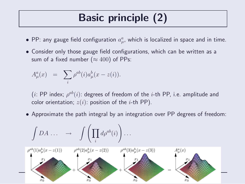# Basic principle (2)

- $\bullet$  PP: any gauge field configuration  $a^a_\mu$  $_{\mu}^{a}$ , which is localized in space and in time.
- Consider only those gauge field configurations, which can be written as a sum of a fixed number ( $\approx 400$ ) of PPs:

$$
A^a_\mu(x) = \sum_i \rho^{ab}(i) a^b_\mu(x - z(i)).
$$

 $(i:$  PP index;  $\rho^{ab}(i)$ : degrees of freedom of the  $i$ -th PP, i.e. amplitude and color orientation;  $z(i)$ : position of the *i*-th PP).

• Approximate the path integral by an integration over PP degrees of freedom:

$$
\int DA \dots \longrightarrow \int \left(\prod_i d\rho^{ab}(i)\right) \dots
$$
\n
$$
\rho^{ab}(1)a^b_\mu(x-z(1)) \qquad \rho^{ab}(2)a^b_\mu(x-z(2)) \qquad \rho^{ab}(3)a^b_\mu(x-z(3)) \qquad A^a_\mu(x)
$$
\n
$$
+\left(\begin{array}{c}\nx_1 \\
x_2 \\
x_3\n\end{array}\right) + \left(\begin{array}{c}\nx_1 \\
x_2 \\
x_3\n\end{array}\right) + \left(\begin{array}{c}\nx_1 \\
x_2\n\end{array}\right) + \left(\begin{array}{c}\nx_1 \\
x_2\n\end{array}\right) + \left(\begin{array}{c}\nx_2 \\
x_3\n\end{array}\right) + \left(\begin{array}{c}\nx_1 \\
x_2\n\end{array}\right) + \left(\begin{array}{c}\nx_2 \\
x_3\n\end{array}\right) + \left(\begin{array}{c}\nx_1 \\
x_2\n\end{array}\right) + \left(\begin{array}{c}\nx_2 \\
x_3\n\end{array}\right) + \left(\begin{array}{c}\nx_1 \\
x_2\n\end{array}\right) + \left(\begin{array}{c}\nx_1 \\
x_2\n\end{array}\right) + \left(\begin{array}{c}\nx_1 \\
x_2\n\end{array}\right) + \left(\begin{array}{c}\nx_1 \\
x_2\n\end{array}\right) + \left(\begin{array}{c}\nx_1 \\
x_2\n\end{array}\right) + \left(\begin{array}{c}\nx_1 \\
x_2\n\end{array}\right) + \left(\begin{array}{c}\nx_1 \\
x_2\n\end{array}\right) + \left(\begin{array}{c}\nx_1 \\
x_2\n\end{array}\right) + \left(\begin{array}{c}\nx_1 \\
x_2\n\end{array}\right) + \left(\begin{array}{c}\nx_1 \\
x_2\n\end{array}\right) + \left(\begin{array}{c}\nx_1 \\
x_2\n\end{array}\right) + \left(\begin{array}{c}\nx_1 \\
x_2\n\end{array}\right) + \left(\begin{array}{c}\nx_1 \\
x_2\n\end{array}\right) + \left(\begin{array}{c}\nx_1 \\
x_2\n\end{array}\right) + \left(\begin{array}{c}\nx_1 \\
x_2\n\end{array}\right) + \left(\begin{array}{c}\nx_1 \\
x_2\n\end{array}\right) + \left(\begin{array}{c}\nx_1 \\
x_2\n\end
$$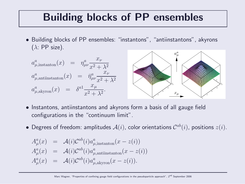### Building blocks of PP ensembles

• Building blocks of PP ensembles: "instantons", "antiinstantons", akyrons  $(\lambda: PP \text{ size}).$ a



- Instantons, antiinstantons and akyrons form a basis of all gauge field configurations in the "continuum limit".
- Degrees of freedom: amplitudes  $\mathcal{A}(i)$ , color orientations  $\mathcal{C}^{ab}(i)$ , positions  $z(i)$ .

$$
A_{\mu}^{a}(x) = \mathcal{A}(i)\mathcal{C}^{ab}(i)a_{\mu,\text{instanton}}^{a}(x - z(i))
$$
  
\n
$$
A_{\mu}^{a}(x) = \mathcal{A}(i)\mathcal{C}^{ab}(i)a_{\mu,\text{antiinstanton}}^{a}(x - z(i))
$$
  
\n
$$
A_{\mu}^{a}(x) = \mathcal{A}(i)\mathcal{C}^{ab}(i)a_{\mu,\text{akyron}}^{a}(x - z(i)).
$$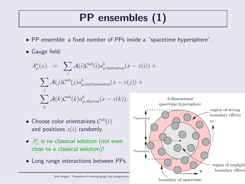# PP ensembles (1)

- PP ensemble: a fixed number of PPs inside a "spacetime hypersphere".
- Gauge field:

$$
A_{\mu}^{a}(x) = \sum_{i} \mathcal{A}(i) \mathcal{C}^{ab}(i) a_{\mu, \text{instanton}}^{b}(x - z(i)) +
$$

$$
\sum_{j} \mathcal{A}(j) \mathcal{C}^{ab}(j) a_{\mu, \text{antiinstanton}}^{b}(x - z(j)) +
$$

$$
\sum_{k} \mathcal{A}(k) \mathcal{C}^{ab}(k) a_{\mu, \text{akyron}}^{b}(x - z(k)).
$$

- Choose color orientations  $\mathcal{C}^{ab}(i)$ and positions  $z(i)$  randomly.
- $\bullet$   $A_{\mu}^{a}$  is no classical solution (not even close to a classical solution)!
- Long range interactions between PPs.



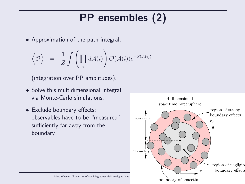# PP ensembles (2)

• Approximation of the path integral:

$$
\Big\langle {\cal O} \Big\rangle \;\; = \;\; \frac{1}{Z} \int \left( \prod_i d{\cal A}(i) \right) {\cal O} ({\cal A}(i)) e^{-S ({\cal A}(i))}
$$

(integration over PP amplitudes).

- Solve this multidimensional integral via Monte-Carlo simulations.
- Exclude boundary effects: observables have to be "measured" sufficiently far away from the boundary.

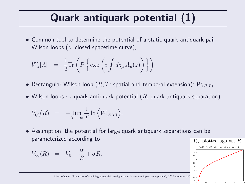# Quark antiquark potential (1)

• Common tool to determine the potential of a static quark antiquark pair: Wilson loops  $(z: closed spacetime curve)$ ,

$$
W_z[A] = \frac{1}{2} \text{Tr} \left( P \left\{ \exp \left( i \oint dz_\mu A_\mu(z) \right) \right\} \right).
$$

- $\bullet$  Rectangular Wilson loop  $(R,T:$  spatial and temporal extension):  $W_{(R,T)}.$
- Wilson loops  $\leftrightarrow$  quark antiquark potential ( $R$ : quark antiquark separation):

$$
V_{\mathbf{q}\bar{\mathbf{q}}}(R) = -\lim_{T \to \infty} \frac{1}{T} \ln \left\langle W_{(R,T)} \right\rangle.
$$

• Assumption: the potential for large quark antiquark separations can be parameterized according to

$$
V_{q\bar{q}}(R) = V_0 - \frac{\alpha}{R} + \sigma R.
$$



Marc Wagner, "Properties of confining gauge field configurations in the pseudoparticle approach", 2<sup>nd</sup> September 200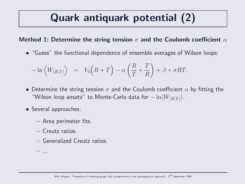## Quark antiquark potential (2)

#### Method 1: Determine the string tension  $\sigma$  and the Coulomb coefficient  $\alpha$

• "Guess" the functional dependence of ensemble averages of Wilson loops:

$$
-\ln\left\langle W_{(R,T)}\right\rangle = V_0\left(R+T\right) - \alpha\left(\frac{R}{T} + \frac{T}{R}\right) + \beta + \sigma RT.
$$

- Determine the string tension  $\sigma$  and the Coulomb coefficient  $\alpha$  by fitting the "Wilson loop ansatz" to Monte-Carlo data for  $-\ln\langle W_{(R,T)}\rangle$ .
- Several approaches:
	- Area perimeter fits.
	- Creutz ratios.
	- Generalized Creutz ratios.

– ...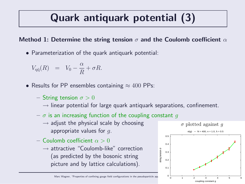# Quark antiquark potential (3)

#### Method 1: Determine the string tension  $\sigma$  and the Coulomb coefficient  $\alpha$

• Parameterization of the quark antiquark potential:

$$
V_{q\bar{q}}(R) = V_0 - \frac{\alpha}{R} + \sigma R.
$$

- Results for PP ensembles containing  $\approx 400$  PPs:
	- String tension  $\sigma > 0$ 
		- $\rightarrow$  linear potential for large quark antiquark separations, confinement.
	- $-\sigma$  is an increasing function of the coupling constant q
		- $\rightarrow$  adjust the physical scale by choosing appropriate values for  $q$ .
	- Coulomb coefficient  $\alpha > 0$ 
		- $\rightarrow$  attractive "Coulomb-like" correction (as predicted by the bosonic string picture and by lattice calculations).



Marc Wagner, "Properties of confining gauge field configurations in the pseudoparticle approach to  $\frac{L}{0}$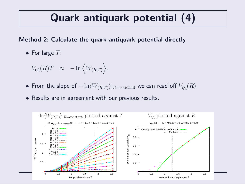### Quark antiquark potential (4)

#### Method 2: Calculate the quark antiquark potential directly

• For large  $T$ :

$$
V_{q\bar{q}}(R)T \approx -\ln \left\langle W_{(R,T)} \right\rangle.
$$

- From the slope of  $-\ln \langle W_{(R,T)} \rangle|_{R=\text{constant}}$  we can read off  $V_{q\bar{q}}(R)$ .
- Results are in agreement with our previous results.

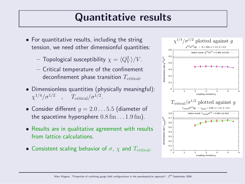### Quantitative results

- For quantitative results, including the string tension, we need other dimensionful quantities:
	- $-$  Topological susceptibility  $\chi = \langle Q_V^2 \rangle /V.$
	- Critical temperature of the confinement deconfinement phase transition  $T_{\text{critical}}$ .
- Dimensionless quantities (physically meaningful):  $\chi^{1/4}/\sigma^{1/2}$  ,  $T_{\rm critical}/\sigma^{1/2}$ .
- Consider different  $q = 2.0 \dots 5.5$  (diameter of the spacetime hypersphere  $0.8 \,\mathrm{fm} \ldots 1.9 \,\mathrm{fm}$ .
- Results are in qualitative agreement with results from lattice calculations.
- Consistent scaling behavior of  $\sigma$ ,  $\chi$  and  $T_{\text{critical}}$ .

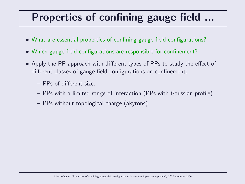# Properties of confining gauge field ...

- What are essential properties of confining gauge field configurations?
- Which gauge field configurations are responsible for confinement?
- Apply the PP approach with different types of PPs to study the effect of different classes of gauge field configurations on confinement:
	- PPs of different size.
	- PPs with a limited range of interaction (PPs with Gaussian profile).
	- PPs without topological charge (akyrons).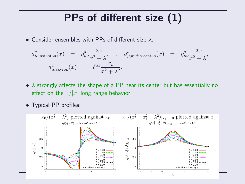## PPs of different size (1)

• Consider ensembles with PPs of different size  $\lambda$ :

$$
a_{\mu,\text{instanton}}^a(x) = \eta_{\mu\nu}^a \frac{x_{\nu}}{x^2 + \lambda^2}, \quad a_{\mu,\text{antlinstanton}}^a(x) = \bar{\eta}_{\mu\nu}^a \frac{x_{\nu}}{x^2 + \lambda^2},
$$
  

$$
a_{\mu,\text{akyron}}^a(x) = \delta^{a1} \frac{x_{\mu}}{x^2 + \lambda^2}.
$$

- $\lambda$  strongly affects the shape of a PP near its center but has essentially no effect on the  $1/|x|$  long range behavior.
- Typical PP profiles:

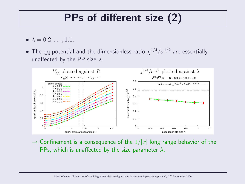# PPs of different size (2)

- $\lambda = 0.2, \ldots, 1.1$ .
- $\bullet$  The  $\rm q\bar{q}$  potential and the dimensionless ratio  $\chi^{1/4}/\sigma^{1/2}$  are essentially unaffected by the PP size  $\lambda$ .



 $\rightarrow$  Confinement is a consequence of the  $1/|x|$  long range behavior of the PPs, which is unaffected by the size parameter  $\lambda$ .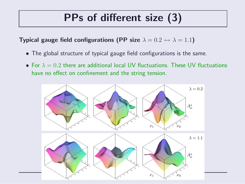## PPs of different size (3)

Typical gauge field configurations (PP size  $\lambda = 0.2 \leftrightarrow \lambda = 1.1$ )

- The global structure of typical gauge field configurations is the same.
- For  $\lambda = 0.2$  there are additional local UV fluctuations. These UV fluctuations have no effect on confinement and the string tension.

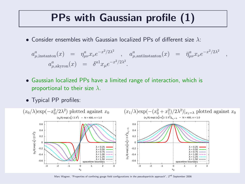### PPs with Gaussian profile (1)

• Consider ensembles with Gaussian localized PPs of different size  $\lambda$ :

$$
a_{\mu,\text{instanton}}^a(x) = \eta_{\mu\nu}^a x_\nu e^{-x^2/2\lambda^2}, \quad a_{\mu,\text{antiinstanton}}^a(x) = \bar{\eta}_{\mu\nu}^a x_\nu e^{-x^2/2\lambda^2},
$$
  

$$
a_{\mu,\text{akyron}}^a(x) = \delta^{a1} x_\mu e^{-x^2/2\lambda^2}.
$$

- Gaussian localized PPs have a limited range of interaction, which is proportional to their size  $\lambda$ .
- Typical PP profiles:



Marc Wagner, "Properties of confining gauge field configurations in the pseudoparticle approach", 2<sup>nd</sup> September 2006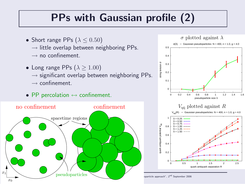## PPs with Gaussian profile (2)

- Short range PPs  $(\lambda \le 0.50)$ 
	- $\rightarrow$  little overlap between neighboring PPs.
	- $\rightarrow$  no confinement.
- Long range PPs  $(\lambda > 1.00)$ 
	- $\rightarrow$  significant overlap between neighboring PPs.
	- $\rightarrow$  confinement.
- PP percolation  $\leftrightarrow$  confinement.



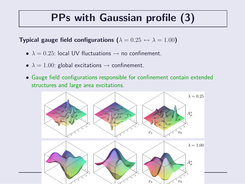## PPs with Gaussian profile (3)

Typical gauge field configurations ( $\lambda = 0.25 \leftrightarrow \lambda = 1.00$ )

- $\lambda = 0.25$ : local UV fluctuations  $\rightarrow$  no confinement.
- $\lambda = 1.00$ : global excitations  $\rightarrow$  confinement.
- Gauge field configurations responsible for confinement contain extended structures and large area excitations.

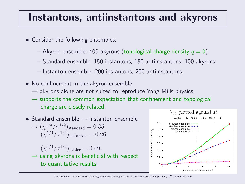### Instantons, antiinstantons and akyrons

- Consider the following ensembles:
	- Akyron ensemble: 400 akyrons (topological charge density  $q = 0$ ).
	- Standard ensemble: 150 instantons, 150 antiinstantons, 100 akyrons.
	- Instanton ensemble: 200 instantons, 200 antiinstantons.
- No confinement in the akyron ensemble
	- $\rightarrow$  akyrons alone are not suited to reproduce Yang-Mills physics.
	- $\rightarrow$  supports the common expectation that confinement and topological charge are closely related.
- Standard ensemble  $\leftrightarrow$  instanton ensemble  $\rightarrow (\chi^{1/4}/\sigma^{1/2})_{\rm standard} = 0.35$  $(\chi^{1/4}/\sigma^{1/2})_{\text{instanton}} = 0.26$  $(\chi^{1/4}/\sigma^{1/2})$ lattice = 0.49.
	- $\rightarrow$  using akyrons is beneficial with respect to quantitative results.

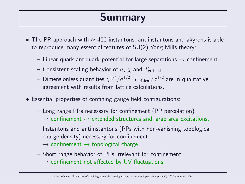### Summary

- The PP approach with  $\approx 400$  instantons, antiinstantons and akyrons is able to reproduce many essential features of SU(2) Yang-Mills theory:
	- $-$  Linear quark antiquark potential for large separations  $\rightarrow$  confinement.
	- Consistent scaling behavior of  $\sigma$ ,  $\chi$  and  $T_{\text{critical}}$ .
	- $-$  Dimensionless quantities  $\chi^{1/4}/\sigma^{1/2}$ ,  $T_{\rm critical}/\sigma^{1/2}$  are in qualitative agreement with results from lattice calculations.
- Essential properties of confining gauge field configurations:
	- Long range PPs necessary for confinement (PP percolation)  $\rightarrow$  confinement  $\leftrightarrow$  extended structures and large area excitations.
	- Instantons and antiinstantons (PPs with non-vanishing topological charge density) necessary for confinement

 $\rightarrow$  confinement  $\leftrightarrow$  topological charge.

– Short range behavior of PPs irrelevant for confinement  $\rightarrow$  confinement not affected by UV fluctuations.